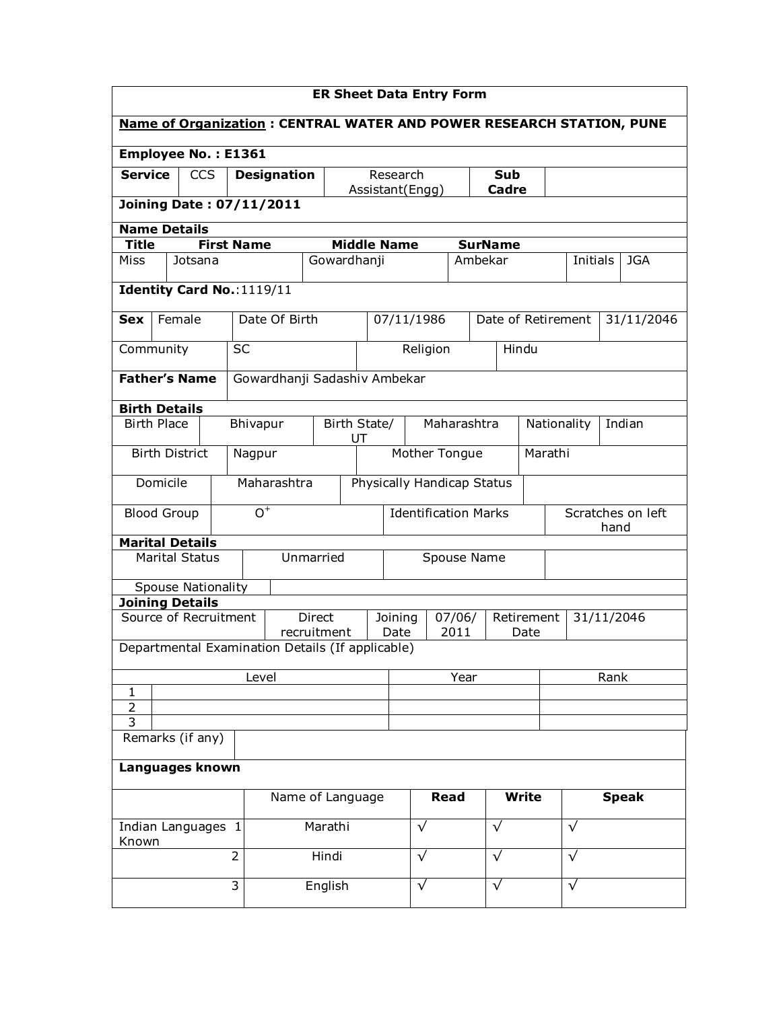| <b>ER Sheet Data Entry Form</b>                                      |                            |                           |  |                   |                                                  |                            |                                 |                                            |                 |                                    |              |                     |         |           |      |                   |  |
|----------------------------------------------------------------------|----------------------------|---------------------------|--|-------------------|--------------------------------------------------|----------------------------|---------------------------------|--------------------------------------------|-----------------|------------------------------------|--------------|---------------------|---------|-----------|------|-------------------|--|
| Name of Organization: CENTRAL WATER AND POWER RESEARCH STATION, PUNE |                            |                           |  |                   |                                                  |                            |                                 |                                            |                 |                                    |              |                     |         |           |      |                   |  |
| Employee No.: E1361                                                  |                            |                           |  |                   |                                                  |                            |                                 |                                            |                 |                                    |              |                     |         |           |      |                   |  |
| <b>Service</b>                                                       |                            | <b>CCS</b>                |  |                   | <b>Designation</b>                               |                            |                                 |                                            | Research        |                                    |              | <b>Sub</b><br>Cadre |         |           |      |                   |  |
|                                                                      |                            |                           |  |                   | <b>Joining Date: 07/11/2011</b>                  |                            |                                 |                                            | Assistant(Engg) |                                    |              |                     |         |           |      |                   |  |
| <b>Name Details</b>                                                  |                            |                           |  |                   |                                                  |                            |                                 |                                            |                 |                                    |              |                     |         |           |      |                   |  |
| <b>Title</b>                                                         |                            |                           |  | <b>First Name</b> |                                                  |                            | <b>Middle Name</b>              |                                            |                 |                                    |              | <b>SurName</b>      |         |           |      |                   |  |
| Miss                                                                 |                            | Jotsana                   |  |                   |                                                  | Gowardhanji                |                                 |                                            |                 |                                    |              | Ambekar             |         | Initials  |      | <b>JGA</b>        |  |
|                                                                      | Identity Card No.: 1119/11 |                           |  |                   |                                                  |                            |                                 |                                            |                 |                                    |              |                     |         |           |      |                   |  |
| <b>Sex</b>                                                           |                            | Female                    |  |                   | Date Of Birth                                    |                            |                                 |                                            | 07/11/1986      |                                    |              | Date of Retirement  |         |           |      | 31/11/2046        |  |
| Community                                                            |                            |                           |  | <b>SC</b>         |                                                  |                            |                                 |                                            |                 | Religion                           |              |                     | Hindu   |           |      |                   |  |
| <b>Father's Name</b>                                                 |                            |                           |  |                   | Gowardhanji Sadashiv Ambekar                     |                            |                                 |                                            |                 |                                    |              |                     |         |           |      |                   |  |
| <b>Birth Details</b>                                                 |                            |                           |  |                   |                                                  |                            |                                 |                                            |                 |                                    |              |                     |         |           |      |                   |  |
| <b>Birth Place</b>                                                   |                            |                           |  | Bhivapur          |                                                  |                            | UT                              | Birth State/<br>Maharashtra<br>Nationality |                 |                                    |              | Indian              |         |           |      |                   |  |
|                                                                      |                            | <b>Birth District</b>     |  | Nagpur            |                                                  |                            |                                 |                                            |                 | <b>Mother Tongue</b>               |              |                     | Marathi |           |      |                   |  |
|                                                                      | Domicile                   |                           |  |                   | Maharashtra                                      | Physically Handicap Status |                                 |                                            |                 |                                    |              |                     |         |           |      |                   |  |
| <b>Blood Group</b>                                                   |                            |                           |  | $\overline{O}^+$  |                                                  |                            |                                 |                                            |                 | <b>Identification Marks</b>        |              |                     |         |           | hand | Scratches on left |  |
| <b>Marital Details</b>                                               |                            |                           |  |                   |                                                  |                            |                                 |                                            |                 |                                    |              |                     |         |           |      |                   |  |
|                                                                      |                            | <b>Marital Status</b>     |  |                   | Unmarried                                        |                            | Spouse Name                     |                                            |                 |                                    |              |                     |         |           |      |                   |  |
|                                                                      |                            | <b>Spouse Nationality</b> |  |                   |                                                  |                            |                                 |                                            |                 |                                    |              |                     |         |           |      |                   |  |
| <b>Joining Details</b><br>Source of Recruitment                      |                            |                           |  |                   |                                                  | <b>Direct</b>              |                                 |                                            |                 | Retirement<br>31/11/2046<br>07/06/ |              |                     |         |           |      |                   |  |
|                                                                      |                            |                           |  |                   | recruitment                                      |                            | Joining<br>2011<br>Date<br>Date |                                            |                 |                                    |              |                     |         |           |      |                   |  |
|                                                                      |                            |                           |  |                   | Departmental Examination Details (If applicable) |                            |                                 |                                            |                 |                                    |              |                     |         |           |      |                   |  |
|                                                                      |                            |                           |  | Level             |                                                  |                            |                                 |                                            |                 |                                    | Year         |                     |         | Rank      |      |                   |  |
| 1<br>$\overline{2}$                                                  |                            |                           |  |                   |                                                  |                            |                                 |                                            |                 |                                    |              |                     |         |           |      |                   |  |
| 3                                                                    |                            |                           |  |                   |                                                  |                            |                                 |                                            |                 |                                    |              |                     |         |           |      |                   |  |
|                                                                      |                            | Remarks (if any)          |  |                   |                                                  |                            |                                 |                                            |                 |                                    |              |                     |         |           |      |                   |  |
| <b>Languages known</b>                                               |                            |                           |  |                   |                                                  |                            |                                 |                                            |                 |                                    |              |                     |         |           |      |                   |  |
| Name of Language                                                     |                            |                           |  |                   | Read                                             |                            |                                 | <b>Write</b>                               |                 |                                    | <b>Speak</b> |                     |         |           |      |                   |  |
| Indian Languages 1<br>Known                                          |                            |                           |  |                   |                                                  | Marathi                    |                                 |                                            |                 | $\sqrt{}$                          |              | $\sqrt{ }$          |         | $\sqrt{}$ |      |                   |  |
|                                                                      |                            |                           |  | $\overline{2}$    |                                                  | Hindi                      |                                 |                                            |                 | $\sqrt{}$                          |              | $\sqrt{}$           |         | $\sqrt{}$ |      |                   |  |
|                                                                      |                            |                           |  | $\overline{3}$    |                                                  | English                    |                                 |                                            |                 | $\sqrt{}$                          |              | $\sqrt{}$           |         | $\sqrt{}$ |      |                   |  |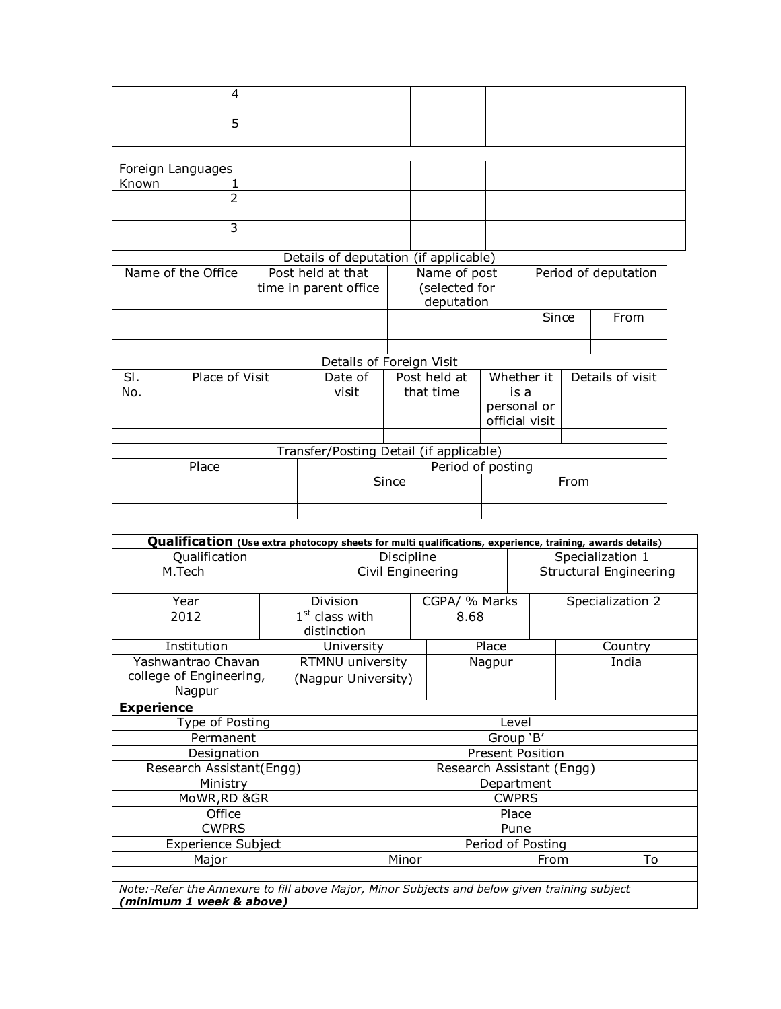| 4                            |  |  |
|------------------------------|--|--|
|                              |  |  |
|                              |  |  |
| Foreign Languages<br>Known 1 |  |  |
| ┑                            |  |  |
| 3                            |  |  |

|                          |                                                                                                                        |  |                                            | Details of deputation (if applicable)       |  |       |  |                      |  |  |
|--------------------------|------------------------------------------------------------------------------------------------------------------------|--|--------------------------------------------|---------------------------------------------|--|-------|--|----------------------|--|--|
|                          | Name of the Office                                                                                                     |  | Post held at that<br>time in parent office | Name of post<br>(selected for<br>deputation |  |       |  | Period of deputation |  |  |
|                          |                                                                                                                        |  |                                            |                                             |  | Since |  | From                 |  |  |
|                          |                                                                                                                        |  |                                            |                                             |  |       |  |                      |  |  |
| Details of Foreign Visit |                                                                                                                        |  |                                            |                                             |  |       |  |                      |  |  |
| $\sim$                   | .<br>$\cdots$<br>.<br>$\mathbb{R}^n$ $\mathbb{R}^n$ $\mathbb{R}^n$ $\mathbb{R}^n$ $\mathbb{R}^n$ $\mathbb{R}^n$<br>. . |  |                                            |                                             |  |       |  |                      |  |  |

| SI. | Place of Visit | Date of | Post held at |                | Whether it   Details of visit |
|-----|----------------|---------|--------------|----------------|-------------------------------|
| No. |                | visit   | that time    | is a           |                               |
|     |                |         |              | personal or    |                               |
|     |                |         |              | official visit |                               |
|     |                |         |              |                |                               |

| Transfer/Posting Detail (if applicable) |       |      |  |  |  |  |  |  |  |
|-----------------------------------------|-------|------|--|--|--|--|--|--|--|
| Period of posting<br>Place              |       |      |  |  |  |  |  |  |  |
|                                         | Since | From |  |  |  |  |  |  |  |
|                                         |       |      |  |  |  |  |  |  |  |

| Qualification (Use extra photocopy sheets for multi qualifications, experience, training, awards details) |  |                  |                           |                   |      |                  |                               |  |  |  |
|-----------------------------------------------------------------------------------------------------------|--|------------------|---------------------------|-------------------|------|------------------|-------------------------------|--|--|--|
| Qualification                                                                                             |  |                  | Discipline                |                   |      | Specialization 1 |                               |  |  |  |
| M.Tech                                                                                                    |  |                  | Civil Engineering         |                   |      |                  | <b>Structural Engineering</b> |  |  |  |
|                                                                                                           |  |                  |                           |                   |      |                  |                               |  |  |  |
| Year                                                                                                      |  | Division         |                           | CGPA/ % Marks     |      |                  | Specialization 2              |  |  |  |
| 2012                                                                                                      |  | $1st$ class with |                           | 8.68              |      |                  |                               |  |  |  |
|                                                                                                           |  | distinction      |                           |                   |      |                  |                               |  |  |  |
| Institution                                                                                               |  |                  | University                | Place             |      |                  | Country                       |  |  |  |
| Yashwantrao Chavan                                                                                        |  |                  | RTMNU university          | Nagpur            |      |                  | India                         |  |  |  |
| college of Engineering,                                                                                   |  |                  | (Nagpur University)       |                   |      |                  |                               |  |  |  |
| Nagpur                                                                                                    |  |                  |                           |                   |      |                  |                               |  |  |  |
| <b>Experience</b>                                                                                         |  |                  |                           |                   |      |                  |                               |  |  |  |
| Type of Posting                                                                                           |  |                  | Level                     |                   |      |                  |                               |  |  |  |
| Permanent                                                                                                 |  |                  | Group 'B'                 |                   |      |                  |                               |  |  |  |
| Designation                                                                                               |  |                  | <b>Present Position</b>   |                   |      |                  |                               |  |  |  |
| Research Assistant(Engg)                                                                                  |  |                  | Research Assistant (Engg) |                   |      |                  |                               |  |  |  |
| Ministry                                                                                                  |  |                  | Department                |                   |      |                  |                               |  |  |  |
| MoWR, RD & GR                                                                                             |  |                  | <b>CWPRS</b>              |                   |      |                  |                               |  |  |  |
| Office                                                                                                    |  |                  | Place                     |                   |      |                  |                               |  |  |  |
| <b>CWPRS</b>                                                                                              |  |                  | Pune                      |                   |      |                  |                               |  |  |  |
| <b>Experience Subject</b>                                                                                 |  |                  |                           | Period of Posting |      |                  |                               |  |  |  |
| Major                                                                                                     |  | Minor            |                           |                   | From | To               |                               |  |  |  |
|                                                                                                           |  |                  |                           |                   |      |                  |                               |  |  |  |
| Note:-Refer the Annexure to fill above Major, Minor Subjects and below given training subject             |  |                  |                           |                   |      |                  |                               |  |  |  |
| (minimum 1 week & above)                                                                                  |  |                  |                           |                   |      |                  |                               |  |  |  |